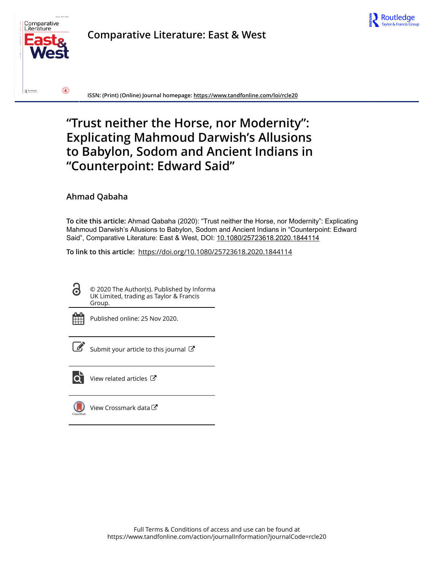



**Comparative Literature: East & West**

**ISSN: (Print) (Online) Journal homepage:<https://www.tandfonline.com/loi/rcle20>**

# **"Trust neither the Horse, nor Modernity": Explicating Mahmoud Darwish's Allusions to Babylon, Sodom and Ancient Indians in "Counterpoint: Edward Said"**

## **Ahmad Qabaha**

**To cite this article:** Ahmad Qabaha (2020): "Trust neither the Horse, nor Modernity": Explicating Mahmoud Darwish's Allusions to Babylon, Sodom and Ancient Indians in "Counterpoint: Edward Said", Comparative Literature: East & West, DOI: [10.1080/25723618.2020.1844114](https://www.tandfonline.com/action/showCitFormats?doi=10.1080/25723618.2020.1844114)

**To link to this article:** <https://doi.org/10.1080/25723618.2020.1844114>

© 2020 The Author(s). Published by Informa UK Limited, trading as Taylor & Francis Group.



G

Published online: 25 Nov 2020.



 $\overline{\mathscr{L}}$  [Submit your article to this journal](https://www.tandfonline.com/action/authorSubmission?journalCode=rcle20&show=instructions)  $\mathbb{Z}$ 



 $\overline{Q}$  [View related articles](https://www.tandfonline.com/doi/mlt/10.1080/25723618.2020.1844114)  $\overline{C}$ 

[View Crossmark data](http://crossmark.crossref.org/dialog/?doi=10.1080/25723618.2020.1844114&domain=pdf&date_stamp=2020-11-25)<sup>C</sup>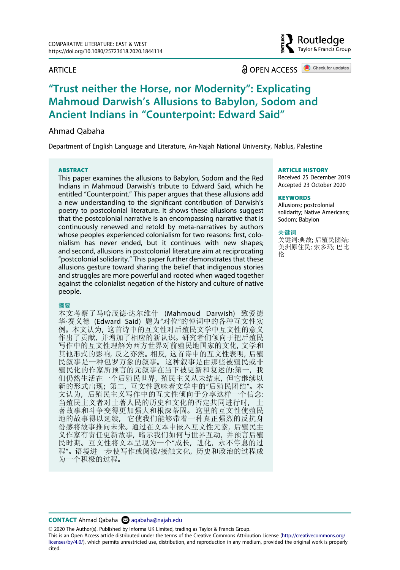### ARTICLE

**a** OPEN ACCESS **a** Check for updates

Routledae Taylor & Francis Group

## **"Trust neither the Horse, nor Modernity": Explicating Mahmoud Darwish's Allusions to Babylon, Sodom and Ancient Indians in "Counterpoint: Edward Said"**

## Ahmad Qabaha

Department of English Language and Literature, An-Najah National University, Nablus, Palestine

#### **ABSTRACT**

This paper examines the allusions to Babylon, Sodom and the Red Indians in Mahmoud Darwish's tribute to Edward Said, which he entitled "Counterpoint." This paper argues that these allusions add a new understanding to the significant contribution of Darwish's poetry to postcolonial literature. It shows these allusions suggest that the postcolonial narrative is an encompassing narrative that is continuously renewed and retold by meta-narratives by authors whose peoples experienced colonialism for two reasons: first, colonialism has never ended, but it continues with new shapes; and second, allusions in postcolonial literature aim at reciprocating "postcolonial solidarity." This paper further demonstrates that these allusions gesture toward sharing the belief that indigenous stories and struggles are more powerful and rooted when waged together against the colonialist negation of the history and culture of native people.

#### 摘要

本文考察了马哈茂德·达尔维什 (Mahmoud Darwish) 致爱德 华·赛义德 (Edward Said) 题为"对位"的悼词中的各种互文性实 例。本文认为, 这首诗中的互文性对后殖民文学中互文性的意义 作出了贡献, 并增加了相应的新认识。研究者们倾向于把后殖民 写作中的互文性理解为西方世界对前殖民地国家的文化, 文学和 其他形式的影响, 反之亦然。相反, 这首诗中的互文性表明, 后殖 民叙事是一种包罗万象的叙事。这种叙事是由那些被殖民或非 殖民化的作家所预言的元叙事在当下被更新和复述的:第一, 我 们仍然生活在一个后殖民世界, 殖民主义从未结束, 但它继续以 新的形式出现; 第二, 互文性意味着文学中的"后殖民团结"。本<br>文认为 后腐民主义军佐中的五文性恒白王公官这样,公信令。 文认为, 后殖民主义写作中的互文性倾向于分享这样一个信念: 当殖民主义者对土著人民的历史和文化的否定共同进行时, 土 著故事和斗争变得更加强大和根深蒂固。这里的互文性使殖民 地的故事得以延续, 它使我们能够带着一种真正强烈的反抗身 份感将故事推向未来。通过在文本中嵌入互文性元素, 后殖民主 义作家有责任更新故事, 暗示我们如何与世界互动, 并预言后殖 民时期。互文性将文本呈现为一个"成长, 进化, 永不停息的过 程"。语境进一步使写作或阅读/接触文化, 历史和政治的过程成<br>光 为一个积极的过程。

#### **ARTICLE HISTORY**

Received 25 December 2019 Accepted 23 October 2020

#### **KEYWORDS**

Allusions; postcolonial solidarity; Native Americans; Sodom; Babylon

#### 关键词

关键词:典故; 后殖民团结; 美洲原住民; 索多玛; 巴比 伦

#### **CONTACT** Ahmad Qabaha aqabaha@najah.edu

© 2020 The Author(s). Published by Informa UK Limited, trading as Taylor & Francis Group.

This is an Open Access article distributed under the terms of the Creative Commons Attribution License (http://creativecommons.org/ licenses/by/4.0/), which permits unrestricted use, distribution, and reproduction in any medium, provided the original work is properly cited.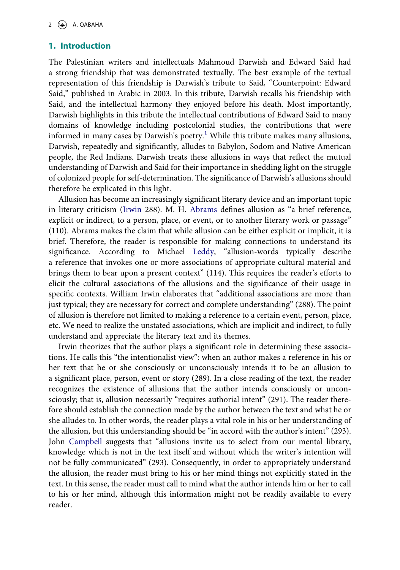## **1. Introduction**

The Palestinian writers and intellectuals Mahmoud Darwish and Edward Said had a strong friendship that was demonstrated textually. The best example of the textual representation of this friendship is Darwish's tribute to Said, "Counterpoint: Edward Said," published in Arabic in 2003. In this tribute, Darwish recalls his friendship with Said, and the intellectual harmony they enjoyed before his death. Most importantly, Darwish highlights in this tribute the intellectual contributions of Edward Said to many domains of knowledge including postcolonial studies, the contributions that were informed in many cases by Darwish's poetry.<sup>1</sup> While this tribute makes many allusions, Darwish, repeatedly and significantly, alludes to Babylon, Sodom and Native American people, the Red Indians. Darwish treats these allusions in ways that reflect the mutual understanding of Darwish and Said for their importance in shedding light on the struggle of colonized people for self-determination. The significance of Darwish's allusions should therefore be explicated in this light.

<span id="page-2-2"></span><span id="page-2-0"></span>Allusion has become an increasingly significant literary device and an important topic in literary criticism ([Irwin](#page-10-0) 288). M. H. [Abrams](#page-10-1) defines allusion as "a brief reference, explicit or indirect, to a person, place, or event, or to another literary work or passage" (110). Abrams makes the claim that while allusion can be either explicit or implicit, it is brief. Therefore, the reader is responsible for making connections to understand its significance. According to Michael [Leddy](#page-10-2), "allusion-words typically describe a reference that invokes one or more associations of appropriate cultural material and brings them to bear upon a present context" (114). This requires the reader's efforts to elicit the cultural associations of the allusions and the significance of their usage in specific contexts. William Irwin elaborates that "additional associations are more than just typical; they are necessary for correct and complete understanding" (288). The point of allusion is therefore not limited to making a reference to a certain event, person, place, etc. We need to realize the unstated associations, which are implicit and indirect, to fully understand and appreciate the literary text and its themes.

<span id="page-2-1"></span>Irwin theorizes that the author plays a significant role in determining these associations. He calls this "the intentionalist view": when an author makes a reference in his or her text that he or she consciously or unconsciously intends it to be an allusion to a significant place, person, event or story (289). In a close reading of the text, the reader recognizes the existence of allusions that the author intends consciously or unconsciously; that is, allusion necessarily "requires authorial intent" (291). The reader therefore should establish the connection made by the author between the text and what he or she alludes to. In other words, the reader plays a vital role in his or her understanding of the allusion, but this understanding should be "in accord with the author's intent" (293). John [Campbell](#page-10-3) suggests that "allusions invite us to select from our mental library, knowledge which is not in the text itself and without which the writer's intention will not be fully communicated" (293). Consequently, in order to appropriately understand the allusion, the reader must bring to his or her mind things not explicitly stated in the text. In this sense, the reader must call to mind what the author intends him or her to call to his or her mind, although this information might not be readily available to every reader.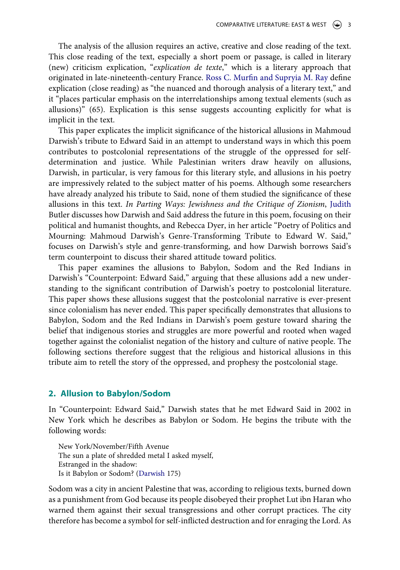<span id="page-3-2"></span>The analysis of the allusion requires an active, creative and close reading of the text. This close reading of the text, especially a short poem or passage, is called in literary (new) criticism explication, "*explication de texte*," which is a literary approach that originated in late-nineteenth-century France. [Ross C. Murfin and Supryia M. Ray](#page-11-0) define explication (close reading) as "the nuanced and thorough analysis of a literary text," and it "places particular emphasis on the interrelationships among textual elements (such as allusions)" (65). Explication is this sense suggests accounting explicitly for what is implicit in the text.

This paper explicates the implicit significance of the historical allusions in Mahmoud Darwish's tribute to Edward Said in an attempt to understand ways in which this poem contributes to postcolonial representations of the struggle of the oppressed for selfdetermination and justice. While Palestinian writers draw heavily on allusions, Darwish, in particular, is very famous for this literary style, and allusions in his poetry are impressively related to the subject matter of his poems. Although some researchers have already analyzed his tribute to Said, none of them studied the significance of these allusions in this text. *In Parting Ways: Jewishness and the Critique of Zionism*, [Judith](#page-10-4) Butler discusses how Darwish and Said address the future in this poem, focusing on their political and humanist thoughts, and Rebecca Dyer, in her article "Poetry of Politics and Mourning: Mahmoud Darwish's Genre-Transforming Tribute to Edward W. Said," focuses on Darwish's style and genre-transforming, and how Darwish borrows Said's term counterpoint to discuss their shared attitude toward politics.

<span id="page-3-1"></span>This paper examines the allusions to Babylon, Sodom and the Red Indians in Darwish's "Counterpoint: Edward Said," arguing that these allusions add a new understanding to the significant contribution of Darwish's poetry to postcolonial literature. This paper shows these allusions suggest that the postcolonial narrative is ever-present since colonialism has never ended. This paper specifically demonstrates that allusions to Babylon, Sodom and the Red Indians in Darwish's poem gesture toward sharing the belief that indigenous stories and struggles are more powerful and rooted when waged together against the colonialist negation of the history and culture of native people. The following sections therefore suggest that the religious and historical allusions in this tribute aim to retell the story of the oppressed, and prophesy the postcolonial stage.

## **2. Allusion to Babylon/Sodom**

In "Counterpoint: Edward Said," Darwish states that he met Edward Said in 2002 in New York which he describes as Babylon or Sodom. He begins the tribute with the following words:

New York/November/Fifth Avenue The sun a plate of shredded metal I asked myself, Estranged in the shadow: Is it Babylon or Sodom? [\(Darwish](#page-10-5) 175)

<span id="page-3-0"></span>Sodom was a city in ancient Palestine that was, according to religious texts, burned down as a punishment from God because its people disobeyed their prophet Lut ibn Haran who warned them against their sexual transgressions and other corrupt practices. The city therefore has become a symbol for self-inflicted destruction and for enraging the Lord. As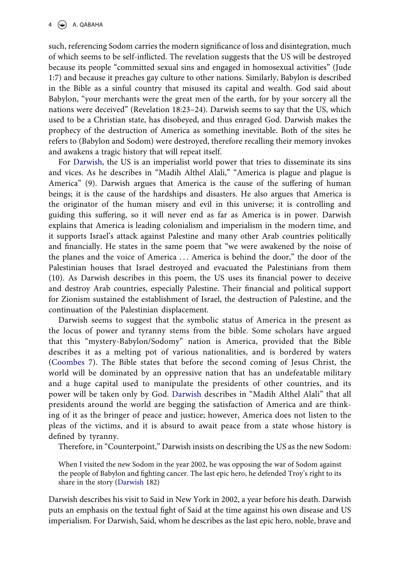such, referencing Sodom carries the modern significance of loss and disintegration, much of which seems to be self-inflicted. The revelation suggests that the US will be destroyed because its people "committed sexual sins and engaged in homosexual activities" (Jude 1:7) and because it preaches gay culture to other nations. Similarly, Babylon is described in the Bible as a sinful country that misused its capital and wealth. God said about Babylon, "your merchants were the great men of the earth, for by your sorcery all the nations were deceived" (Revelation 18:23–24). Darwish seems to say that the US, which used to be a Christian state, has disobeyed, and thus enraged God. Darwish makes the prophecy of the destruction of America as something inevitable. Both of the sites he refers to (Babylon and Sodom) were destroyed, therefore recalling their memory invokes and awakens a tragic history that will repeat itself.

For [Darwish](#page-10-6), the US is an imperialist world power that tries to disseminate its sins and vices. As he describes in "Madih Althel Alali," "America is plague and plague is America" (9). Darwish argues that America is the cause of the suffering of human beings; it is the cause of the hardships and disasters. He also argues that America is the originator of the human misery and evil in this universe; it is controlling and guiding this suffering, so it will never end as far as America is in power. Darwish explains that America is leading colonialism and imperialism in the modern time, and it supports Israel's attack against Palestine and many other Arab countries politically and financially. He states in the same poem that "we were awakened by the noise of the planes and the voice of America . . . America is behind the door," the door of the Palestinian houses that Israel destroyed and evacuated the Palestinians from them (10). As Darwish describes in this poem, the US uses its financial power to deceive and destroy Arab countries, especially Palestine. Their financial and political support for Zionism sustained the establishment of Israel, the destruction of Palestine, and the continuation of the Palestinian displacement.

<span id="page-4-0"></span>Darwish seems to suggest that the symbolic status of America in the present as the locus of power and tyranny stems from the bible. Some scholars have argued that this "mystery-Babylon/Sodomy" nation is America, provided that the Bible describes it as a melting pot of various nationalities, and is bordered by waters ([Coombes](#page-10-7) 7). The Bible states that before the second coming of Jesus Christ, the world will be dominated by an oppressive nation that has an undefeatable military and a huge capital used to manipulate the presidents of other countries, and its power will be taken only by God. [Darwish](#page-10-6) describes in "Madih Althel Alali" that all presidents around the world are begging the satisfaction of America and are thinking of it as the bringer of peace and justice; however, America does not listen to the pleas of the victims, and it is absurd to await peace from a state whose history is defined by tyranny.

<span id="page-4-1"></span>Therefore, in "Counterpoint," Darwish insists on describing the US as the new Sodom:

When I visited the new Sodom in the year 2002, he was opposing the war of Sodom against the people of Babylon and fighting cancer. The last epic hero, he defended Troy's right to its share in the story [\(Darwish](#page-10-5) 182)

Darwish describes his visit to Said in New York in 2002, a year before his death. Darwish puts an emphasis on the textual fight of Said at the time against his own disease and US imperialism. For Darwish, Said, whom he describes as the last epic hero, noble, brave and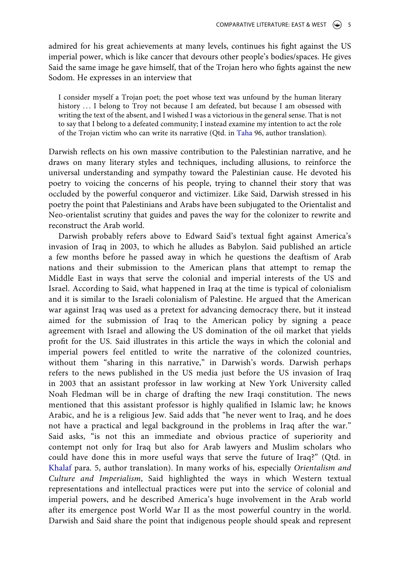admired for his great achievements at many levels, continues his fight against the US imperial power, which is like cancer that devours other people's bodies/spaces. He gives Said the same image he gave himself, that of the Trojan hero who fights against the new Sodom. He expresses in an interview that

I consider myself a Trojan poet; the poet whose text was unfound by the human literary history ... I belong to Troy not because I am defeated, but because I am obsessed with writing the text of the absent, and I wished I was a victorious in the general sense. That is not to say that I belong to a defeated community; I instead examine my intention to act the role of the Trojan victim who can write its narrative (Qtd. in [Taha](#page-11-1) 96, author translation).

<span id="page-5-1"></span>Darwish reflects on his own massive contribution to the Palestinian narrative, and he draws on many literary styles and techniques, including allusions, to reinforce the universal understanding and sympathy toward the Palestinian cause. He devoted his poetry to voicing the concerns of his people, trying to channel their story that was occluded by the powerful conqueror and victimizer. Like Said, Darwish stressed in his poetry the point that Palestinians and Arabs have been subjugated to the Orientalist and Neo-orientalist scrutiny that guides and paves the way for the colonizer to rewrite and reconstruct the Arab world.

<span id="page-5-0"></span>Darwish probably refers above to Edward Said's textual fight against America's invasion of Iraq in 2003, to which he alludes as Babylon. Said published an article a few months before he passed away in which he questions the deaftism of Arab nations and their submission to the American plans that attempt to remap the Middle East in ways that serve the colonial and imperial interests of the US and Israel. According to Said, what happened in Iraq at the time is typical of colonialism and it is similar to the Israeli colonialism of Palestine. He argued that the American war against Iraq was used as a pretext for advancing democracy there, but it instead aimed for the submission of Iraq to the American policy by signing a peace agreement with Israel and allowing the US domination of the oil market that yields profit for the US. Said illustrates in this article the ways in which the colonial and imperial powers feel entitled to write the narrative of the colonized countries, without them "sharing in this narrative," in Darwish's words. Darwish perhaps refers to the news published in the US media just before the US invasion of Iraq in 2003 that an assistant professor in law working at New York University called Noah Fledman will be in charge of drafting the new Iraqi constitution. The news mentioned that this assistant professor is highly qualified in Islamic law; he knows Arabic, and he is a religious Jew. Said adds that "he never went to Iraq, and he does not have a practical and legal background in the problems in Iraq after the war." Said asks, "is not this an immediate and obvious practice of superiority and contempt not only for Iraq but also for Arab lawyers and Muslim scholars who could have done this in more useful ways that serve the future of Iraq?" (Qtd. in [Khalaf](#page-10-8) para. 5, author translation). In many works of his, especially *Orientalism and Culture and Imperialism*, Said highlighted the ways in which Western textual representations and intellectual practices were put into the service of colonial and imperial powers, and he described America's huge involvement in the Arab world after its emergence post World War II as the most powerful country in the world. Darwish and Said share the point that indigenous people should speak and represent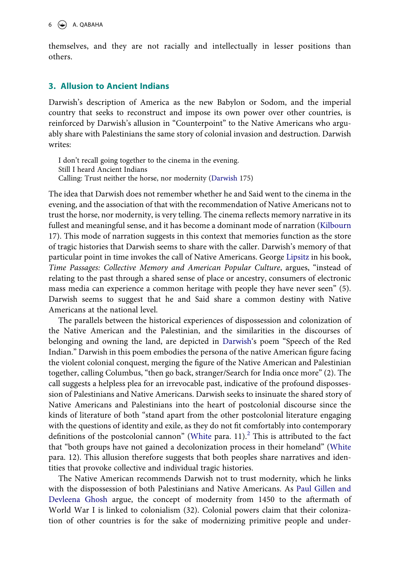themselves, and they are not racially and intellectually in lesser positions than others.

## **3. Allusion to Ancient Indians**

Darwish's description of America as the new Babylon or Sodom, and the imperial country that seeks to reconstruct and impose its own power over other countries, is reinforced by Darwish's allusion in "Counterpoint" to the Native Americans who arguably share with Palestinians the same story of colonial invasion and destruction. Darwish writes:

I don't recall going together to the cinema in the evening. Still I heard Ancient Indians Calling: Trust neither the horse, nor modernity ([Darwish](#page-10-5) 175)

<span id="page-6-3"></span><span id="page-6-2"></span>The idea that Darwish does not remember whether he and Said went to the cinema in the evening, and the association of that with the recommendation of Native Americans not to trust the horse, nor modernity, is very telling. The cinema reflects memory narrative in its fullest and meaningful sense, and it has become a dominant mode of narration ([Kilbourn](#page-10-9) 17). This mode of narration suggests in this context that memories function as the store of tragic histories that Darwish seems to share with the caller. Darwish's memory of that particular point in time invokes the call of Native Americans. George [Lipsitz](#page-10-10) in his book, *Time Passages: Collective Memory and American Popular Culture*, argues, "instead of relating to the past through a shared sense of place or ancestry, consumers of electronic mass media can experience a common heritage with people they have never seen" (5). Darwish seems to suggest that he and Said share a common destiny with Native Americans at the national level.

<span id="page-6-0"></span>The parallels between the historical experiences of dispossession and colonization of the Native American and the Palestinian, and the similarities in the discourses of belonging and owning the land, are depicted in [Darwish](#page-10-11)'s poem "Speech of the Red Indian." Darwish in this poem embodies the persona of the native American figure facing the violent colonial conquest, merging the figure of the Native American and Palestinian together, calling Columbus, "then go back, stranger/Search for India once more" (2). The call suggests a helpless plea for an irrevocable past, indicative of the profound dispossession of Palestinians and Native Americans. Darwish seeks to insinuate the shared story of Native Americans and Palestinians into the heart of postcolonial discourse since the kinds of literature of both "stand apart from the other postcolonial literature engaging with the questions of identity and exile, as they do not fit comfortably into contemporary definitions of the postcolonial cannon" ([White](#page-11-2) para.  $11$ ).<sup>2</sup> This is attributed to the fact that "both groups have not gained a decolonization process in their homeland" ([White](#page-11-2) para. 12). This allusion therefore suggests that both peoples share narratives and identities that provoke collective and individual tragic histories.

<span id="page-6-4"></span><span id="page-6-1"></span>The Native American recommends Darwish not to trust modernity, which he links with the dispossession of both Palestinians and Native Americans. As [Paul Gillen and](#page-10-12) [Devleena Ghosh](#page-10-12) argue, the concept of modernity from 1450 to the aftermath of World War I is linked to colonialism (32). Colonial powers claim that their colonization of other countries is for the sake of modernizing primitive people and under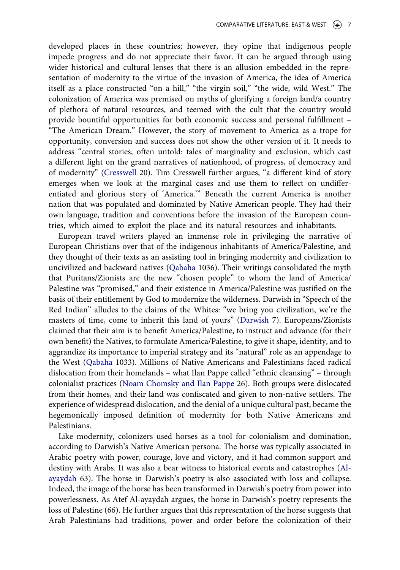developed places in these countries; however, they opine that indigenous people impede progress and do not appreciate their favor. It can be argued through using wider historical and cultural lenses that there is an allusion embedded in the representation of modernity to the virtue of the invasion of America, the idea of America itself as a place constructed "on a hill," "the virgin soil," "the wide, wild West." The colonization of America was premised on myths of glorifying a foreign land/a country of plethora of natural resources, and teemed with the cult that the country would provide bountiful opportunities for both economic success and personal fulfillment – "The American Dream." However, the story of movement to America as a trope for opportunity, conversion and success does not show the other version of it. It needs to address "central stories, often untold: tales of marginality and exclusion, which cast a different light on the grand narratives of nationhood, of progress, of democracy and of modernity" [\(Cresswell](#page-10-13) 20). Tim Cresswell further argues, "a different kind of story emerges when we look at the marginal cases and use them to reflect on undifferentiated and glorious story of 'America.'" Beneath the current America is another nation that was populated and dominated by Native American people. They had their own language, tradition and conventions before the invasion of the European countries, which aimed to exploit the place and its natural resources and inhabitants.

<span id="page-7-2"></span>European travel writers played an immense role in privileging the narrative of European Christians over that of the indigenous inhabitants of America/Palestine, and they thought of their texts as an assisting tool in bringing modernity and civilization to uncivilized and backward natives ([Qabaha](#page-11-3) 1036). Their writings consolidated the myth that Puritans/Zionists are the new "chosen people" to whom the land of America/ Palestine was "promised," and their existence in America/Palestine was justified on the basis of their entitlement by God to modernize the wilderness. Darwish in "Speech of the Red Indian" alludes to the claims of the Whites: "we bring you civilization, we're the masters of time, come to inherit this land of yours" [\(Darwish](#page-10-11) 7). Europeans/Zionists claimed that their aim is to benefit America/Palestine, to instruct and advance (for their own benefit) the Natives, to formulate America/Palestine, to give it shape, identity, and to aggrandize its importance to imperial strategy and its "natural" role as an appendage to the West [\(Qabaha](#page-11-3) 1033). Millions of Native Americans and Palestinians faced radical dislocation from their homelands – what Ilan Pappe called "ethnic cleansing" – through colonialist practices ([Noam Chomsky and Ilan Pappe](#page-10-14) 26). Both groups were dislocated from their homes, and their land was confiscated and given to non-native settlers. The experience of widespread dislocation, and the denial of a unique cultural past, became the hegemonically imposed definition of modernity for both Native Americans and Palestinians.

<span id="page-7-3"></span><span id="page-7-1"></span><span id="page-7-0"></span>Like modernity, colonizers used horses as a tool for colonialism and domination, according to Darwish's Native American persona. The horse was typically associated in Arabic poetry with power, courage, love and victory, and it had common support and destiny with Arabs. It was also a bear witness to historical events and catastrophes ([Al](#page-10-15)[ayaydah](#page-10-15) 63). The horse in Darwish's poetry is also associated with loss and collapse. Indeed, the image of the horse has been transformed in Darwish's poetry from power into powerlessness. As Atef Al-ayaydah argues, the horse in Darwish's poetry represents the loss of Palestine (66). He further argues that this representation of the horse suggests that Arab Palestinians had traditions, power and order before the colonization of their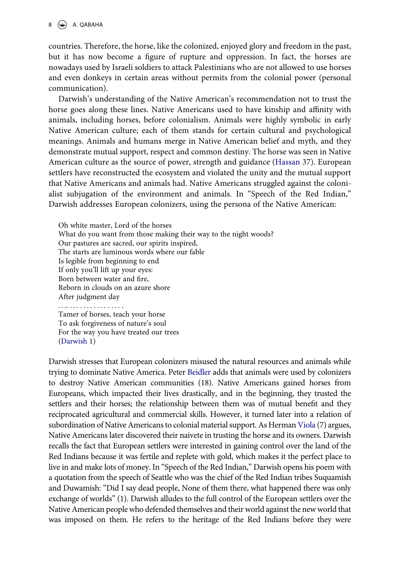countries. Therefore, the horse, like the colonized, enjoyed glory and freedom in the past, but it has now become a figure of rupture and oppression. In fact, the horses are nowadays used by Israeli soldiers to attack Palestinians who are not allowed to use horses and even donkeys in certain areas without permits from the colonial power (personal communication).

<span id="page-8-1"></span>Darwish's understanding of the Native American's recommendation not to trust the horse goes along these lines. Native Americans used to have kinship and affinity with animals, including horses, before colonialism. Animals were highly symbolic in early Native American culture; each of them stands for certain cultural and psychological meanings. Animals and humans merge in Native American belief and myth, and they demonstrate mutual support, respect and common destiny. The horse was seen in Native American culture as the source of power, strength and guidance [\(Hassan](#page-10-16) 37). European settlers have reconstructed the ecosystem and violated the unity and the mutual support that Native Americans and animals had. Native Americans struggled against the colonialist subjugation of the environment and animals. In "Speech of the Red Indian," Darwish addresses European colonizers, using the persona of the Native American:

Oh white master, Lord of the horses What do you want from those making their way to the night woods? Our pastures are sacred, our spirits inspired, The starts are luminous words where our fable Is legible from beginning to end If only you'll lift up your eyes: Born between water and fire, Reborn in clouds on an azure shore After judgment day . . .. . . . . . . . . . . . . . . . .

Tamer of horses, teach your horse To ask forgiveness of nature's soul For the way you have treated our trees [\(Darwish](#page-10-5) 1)

<span id="page-8-2"></span><span id="page-8-0"></span>Darwish stresses that European colonizers misused the natural resources and animals while trying to dominate Native America. Peter [Beidler](#page-10-17) adds that animals were used by colonizers to destroy Native American communities (18). Native Americans gained horses from Europeans, which impacted their lives drastically, and in the beginning, they trusted the settlers and their horses; the relationship between them was of mutual benefit and they reciprocated agricultural and commercial skills. However, it turned later into a relation of subordination of Native Americans to colonial material support. As Herman [Viola](#page-11-4) (7) argues, Native Americans later discovered their naivete in trusting the horse and its owners. Darwish recalls the fact that European settlers were interested in gaining control over the land of the Red Indians because it was fertile and replete with gold, which makes it the perfect place to live in and make lots of money. In "Speech of the Red Indian," Darwish opens his poem with a quotation from the speech of Seattle who was the chief of the Red Indian tribes Suquamish and Duwamish: "Did I say dead people, None of them there, what happened there was only exchange of worlds" (1). Darwish alludes to the full control of the European settlers over the Native American people who defended themselves and their world against the new world that was imposed on them. He refers to the heritage of the Red Indians before they were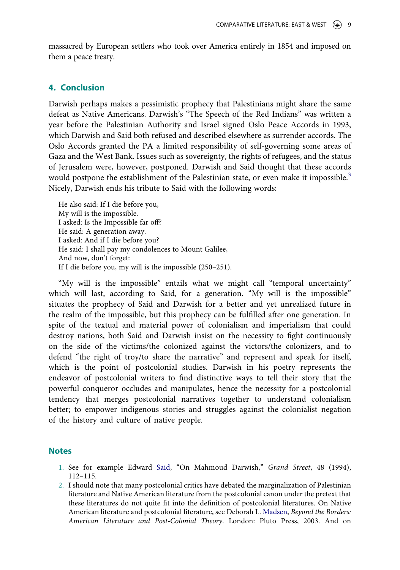massacred by European settlers who took over America entirely in 1854 and imposed on them a peace treaty.

## **4. Conclusion**

Darwish perhaps makes a pessimistic prophecy that Palestinians might share the same defeat as Native Americans. Darwish's "The Speech of the Red Indians" was written a year before the Palestinian Authority and Israel signed Oslo Peace Accords in 1993, which Darwish and Said both refused and described elsewhere as surrender accords. The Oslo Accords granted the PA a limited responsibility of self-governing some areas of Gaza and the West Bank. Issues such as sovereignty, the rights of refugees, and the status of Jerusalem were, however, postponed. Darwish and Said thought that these accords would postpone the establishment of the Palestinian state, or even make it impossible.<sup>3</sup> Nicely, Darwish ends his tribute to Said with the following words:

He also said: If I die before you, My will is the impossible. I asked: Is the Impossible far off? He said: A generation away. I asked: And if I die before you? He said: I shall pay my condolences to Mount Galilee, And now, don't forget: If I die before you, my will is the impossible (250–251).

"My will is the impossible" entails what we might call "temporal uncertainty" which will last, according to Said, for a generation. "My will is the impossible" situates the prophecy of Said and Darwish for a better and yet unrealized future in the realm of the impossible, but this prophecy can be fulfilled after one generation. In spite of the textual and material power of colonialism and imperialism that could destroy nations, both Said and Darwish insist on the necessity to fight continuously on the side of the victims/the colonized against the victors/the colonizers, and to defend "the right of troy/to share the narrative" and represent and speak for itself, which is the point of postcolonial studies. Darwish in his poetry represents the endeavor of postcolonial writers to find distinctive ways to tell their story that the powerful conqueror occludes and manipulates, hence the necessity for a postcolonial tendency that merges postcolonial narratives together to understand colonialism better; to empower indigenous stories and struggles against the colonialist negation of the history and culture of native people.

#### **Notes**

- <span id="page-9-0"></span>1. See for example Edward [Said,](#page-11-5) "On Mahmoud Darwish," *Grand Street*, 48 (1994), 112–115.
- <span id="page-9-2"></span><span id="page-9-1"></span>2. I should note that many postcolonial critics have debated the marginalization of Palestinian literature and Native American literature from the postcolonial canon under the pretext that these literatures do not quite fit into the definition of postcolonial literatures. On Native American literature and postcolonial literature, see Deborah L. [Madsen,](#page-10-19) *Beyond the Borders: American Literature and Post-Colonial Theory*. London: Pluto Press, 2003. And on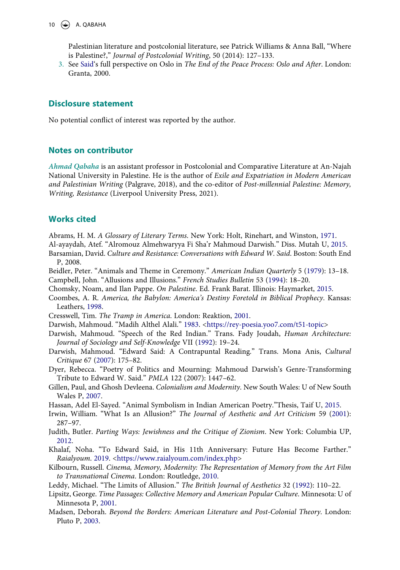

Palestinian literature and postcolonial literature, see Patrick Williams & Anna Ball, "Where is Palestine?," *Journal of Postcolonial Writing*, 50 (2014): 127–133.

<span id="page-10-18"></span>3. See [Said'](#page-11-6)s full perspective on Oslo in *The End of the Peace Process: Oslo and After*. London: Granta, 2000.

## **Disclosure statement**

No potential conflict of interest was reported by the author.

## **Notes on contributor**

*Ahmad Qabaha* is an assistant professor in Postcolonial and Comparative Literature at An-Najah National University in Palestine. He is the author of *Exile and Expatriation in Modern American and Palestinian Writing* (Palgrave, 2018), and the co-editor of *Post-millennial Palestine: Memory, Writing, Resistance* (Liverpool University Press, 2021).

## **Works cited**

<span id="page-10-1"></span>Abrams, H. M. *A Glossary of Literary Terms*. New York: Holt, Rinehart, and Winston, [1971](#page-2-0).

<span id="page-10-15"></span>Al-ayaydah, Atef. "Alromouz Almehwaryya Fi Sha'r Mahmoud Darwish." Diss. Mutah U, [2015.](#page-7-0)

- Barsamian, David. *Culture and Resistance: Conversations with Edward W. Said*. Boston: South End P, 2008.
- <span id="page-10-17"></span><span id="page-10-3"></span>Beidler, Peter. "Animals and Theme in Ceremony." *American Indian Quarterly* 5 [\(1979\)](#page-8-0): 13–18. Campbell, John. "Allusions and Illusions." *French Studies Bulletin* 53 ([1994](#page-2-1)): 18–20.
- <span id="page-10-14"></span>Chomsky, Noam, and Ilan Pappe. *On Palestine*. Ed. Frank Barat. Illinois: Haymarket, [2015](#page-7-1).
- <span id="page-10-7"></span>Coombes, A. R. *America, the Babylon: America's Destiny Foretold in Biblical Prophecy*. Kansas: Leathers, [1998](#page-4-0).
- <span id="page-10-13"></span>Cresswell, Tim. *The Tramp in America*. London: Reaktion, [2001](#page-7-2).
- <span id="page-10-6"></span>Darwish, Mahmoud. "Madih Althel Alali." [1983](#page-4-1). [<https://rey-poesia.yoo7.com/t51-topic>](https://rey-poesia.yoo7.com/t51-topic)
- <span id="page-10-11"></span>Darwish, Mahmoud. "Speech of the Red Indian." Trans. Fady Joudah, *Human Architecture: Journal of Sociology and Self-Knowledge* VII ([1992](#page-6-0)): 19–24.
- <span id="page-10-5"></span>Darwish, Mahmoud. "Edward Said: A Contrapuntal Reading." Trans. Mona Anis, *Cultural Critique* 67 ([2007](#page-3-0)): 175–82.
- Dyer, Rebecca. "Poetry of Politics and Mourning: Mahmoud Darwish's Genre-Transforming Tribute to Edward W. Said." *PMLA* 122 (2007): 1447–62.
- <span id="page-10-12"></span>Gillen, Paul, and Ghosh Devleena. *Colonialism and Modernity*. New South Wales: U of New South Wales P, [2007](#page-6-1).
- <span id="page-10-16"></span>Hassan, Adel El-Sayed. "Animal Symbolism in Indian American Poetry."Thesis, Taif U, [2015](#page-8-1).
- <span id="page-10-0"></span>Irwin, William. "What Is an Allusion?" *The Journal of Aesthetic and Art Criticism* 59 [\(2001\)](#page-2-0): 287–97.
- <span id="page-10-4"></span>Judith, Butler. *Parting Ways: Jewishness and the Critique of Zionism*. New York: Columbia UP, [2012](#page-3-1).
- <span id="page-10-8"></span>Khalaf, Noha. "To Edward Said, in His 11th Anniversary: Future Has Become Farther." *Raialyoum*. [2019](#page-5-0). [<https://www.raialyoum.com/index.php](https://www.raialyoum.com/index.php)>
- <span id="page-10-9"></span>Kilbourn, Russell. *Cinema, Memory, Modernity: The Representation of Memory from the Art Film to Transnational Cinema*. London: Routledge, [2010.](#page-6-2)
- <span id="page-10-2"></span>Leddy, Michael. "The Limits of Allusion." *The British Journal of Aesthetics* 32 [\(1992](#page-2-2)): 110–22.
- <span id="page-10-10"></span>Lipsitz, George. *Time Passages: Collective Memory and American Popular Culture*. Minnesota: U of Minnesota P, [2001.](#page-6-3)
- <span id="page-10-19"></span>Madsen, Deborah. *Beyond the Borders: American Literature and Post-Colonial Theory*. London: Pluto P, [2003.](#page-9-2)